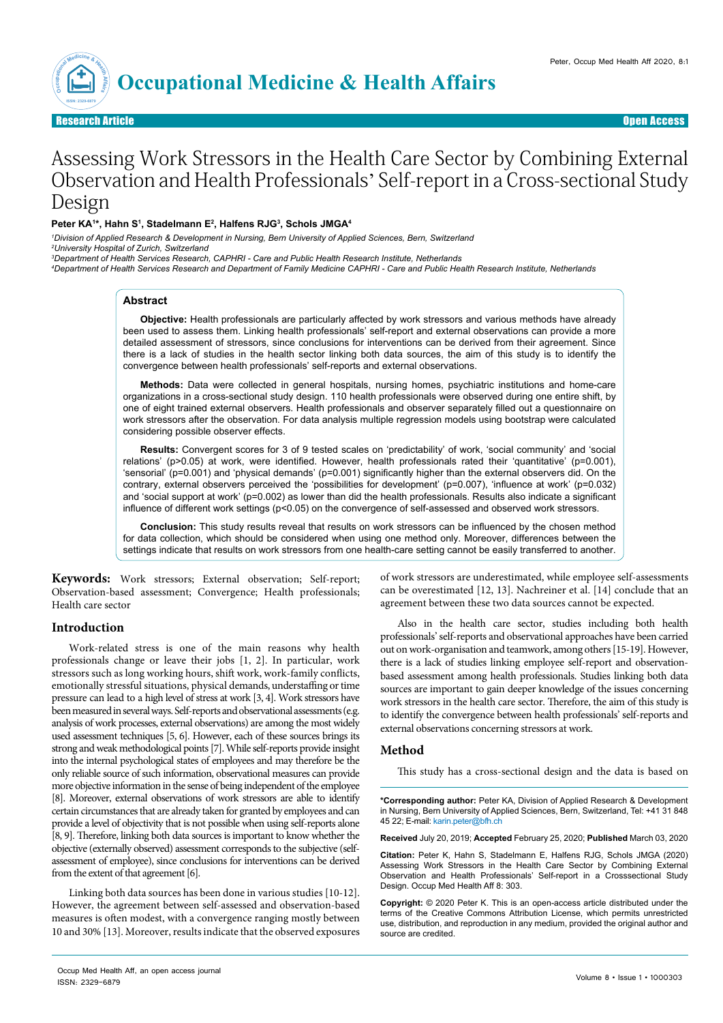

Research Article Open Access

# Assessing Work Stressors in the Health Care Sector by Combining External Observation and Health Professionals' Self-report in a Cross-sectional Study Design

#### **Peter KA1 \*, Hahn S1 , Stadelmann E2 , Halfens RJG3 , Schols JMGA4**

*1 Division of Applied Research & Development in Nursing, Bern University of Applied Sciences, Bern, Switzerland 2 University Hospital of Zurich, Switzerland*

*3 Department of Health Services Research, CAPHRI - Care and Public Health Research Institute, Netherlands*

*4 Department of Health Services Research and Department of Family Medicine CAPHRI - Care and Public Health Research Institute, Netherlands*

#### **Abstract**

**Objective:** Health professionals are particularly affected by work stressors and various methods have already been used to assess them. Linking health professionals' self-report and external observations can provide a more detailed assessment of stressors, since conclusions for interventions can be derived from their agreement. Since there is a lack of studies in the health sector linking both data sources, the aim of this study is to identify the convergence between health professionals' self-reports and external observations.

**Methods:** Data were collected in general hospitals, nursing homes, psychiatric institutions and home-care organizations in a cross-sectional study design. 110 health professionals were observed during one entire shift, by one of eight trained external observers. Health professionals and observer separately filled out a questionnaire on work stressors after the observation. For data analysis multiple regression models using bootstrap were calculated considering possible observer effects.

**Results:** Convergent scores for 3 of 9 tested scales on 'predictability' of work, 'social community' and 'social relations' (p>0.05) at work, were identified. However, health professionals rated their 'quantitative' (p=0.001), 'sensorial' (p=0.001) and 'physical demands' (p=0.001) significantly higher than the external observers did. On the contrary, external observers perceived the 'possibilities for development' (p=0.007), 'influence at work' (p=0.032) and 'social support at work' (p=0.002) as lower than did the health professionals. Results also indicate a significant influence of different work settings (p<0.05) on the convergence of self-assessed and observed work stressors.

**Conclusion:** This study results reveal that results on work stressors can be influenced by the chosen method for data collection, which should be considered when using one method only. Moreover, differences between the settings indicate that results on work stressors from one health-care setting cannot be easily transferred to another.

**Keywords:** Work stressors; External observation; Self-report; Observation-based assessment; Convergence; Health professionals; Health care sector

#### **Introduction**

Work-related stress is one of the main reasons why health professionals change or leave their jobs [1, 2]. In particular, work stressors such as long working hours, shift work, work-family conflicts, emotionally stressful situations, physical demands, understaffing or time pressure can lead to a high level of stress at work [3, 4]. Work stressors have been measured in several ways. Self-reports and observational assessments (e.g. analysis of work processes, external observations) are among the most widely used assessment techniques [5, 6]. However, each of these sources brings its strong and weak methodological points [7]. While self-reports provide insight into the internal psychological states of employees and may therefore be the only reliable source of such information, observational measures can provide more objective information in the sense of being independent of the employee [8]. Moreover, external observations of work stressors are able to identify certain circumstances that are already taken for granted by employees and can provide a level of objectivity that is not possible when using self-reports alone [8, 9]. Therefore, linking both data sources is important to know whether the objective (externally observed) assessment corresponds to the subjective (selfassessment of employee), since conclusions for interventions can be derived from the extent of that agreement [6].

Linking both data sources has been done in various studies [10-12]. However, the agreement between self-assessed and observation-based measures is often modest, with a convergence ranging mostly between 10 and 30% [13]. Moreover, results indicate that the observed exposures

of work stressors are underestimated, while employee self-assessments can be overestimated [12, 13]. Nachreiner et al. [14] conclude that an agreement between these two data sources cannot be expected.

Also in the health care sector, studies including both health professionals' self-reports and observational approaches have been carried out on work-organisation and teamwork, among others [15-19]. However, there is a lack of studies linking employee self-report and observationbased assessment among health professionals. Studies linking both data sources are important to gain deeper knowledge of the issues concerning work stressors in the health care sector. Therefore, the aim of this study is to identify the convergence between health professionals' self-reports and external observations concerning stressors at work.

## **Method**

This study has a cross-sectional design and the data is based on

**\*Corresponding author:** Peter KA, Division of Applied Research & Development in Nursing, Bern University of Applied Sciences, Bern, Switzerland, Tel: +41 31 848 45 22; E-mail: karin.peter@bfh.ch

**Received** July 20, 2019; **Accepted** February 25, 2020; **Published** March 03, 2020

**Citation:** Peter K, Hahn S, Stadelmann E, Halfens RJG, Schols JMGA (2020) Assessing Work Stressors in the Health Care Sector by Combining External Observation and Health Professionals' Self-report in a Crosssectional Study Design. Occup Med Health Aff 8: 303.

**Copyright:** © 2020 Peter K. This is an open-access article distributed under the terms of the Creative Commons Attribution License, which permits unrestricted use, distribution, and reproduction in any medium, provided the original author and source are credited.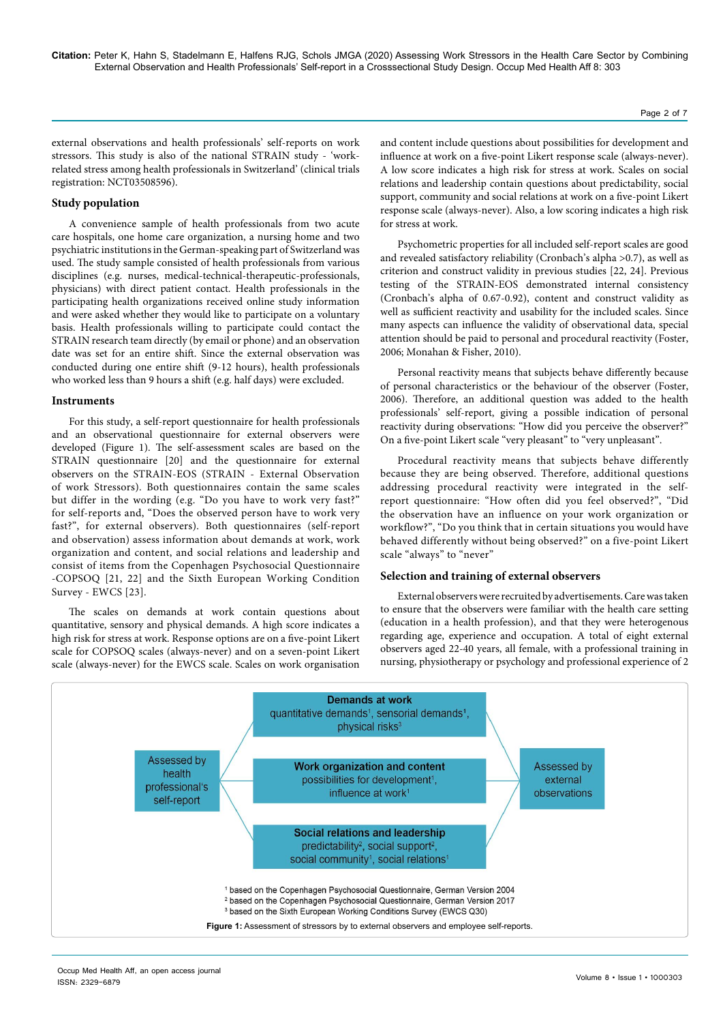external observations and health professionals' self-reports on work stressors. This study is also of the national STRAIN study - 'workrelated stress among health professionals in Switzerland' (clinical trials registration: NCT03508596).

## **Study population**

A convenience sample of health professionals from two acute care hospitals, one home care organization, a nursing home and two psychiatric institutions in the German-speaking part of Switzerland was used. The study sample consisted of health professionals from various disciplines (e.g. nurses, medical-technical-therapeutic-professionals, physicians) with direct patient contact. Health professionals in the participating health organizations received online study information and were asked whether they would like to participate on a voluntary basis. Health professionals willing to participate could contact the STRAIN research team directly (by email or phone) and an observation date was set for an entire shift. Since the external observation was conducted during one entire shift (9-12 hours), health professionals who worked less than 9 hours a shift (e.g. half days) were excluded.

#### **Instruments**

For this study, a self-report questionnaire for health professionals and an observational questionnaire for external observers were developed (Figure 1). The self-assessment scales are based on the STRAIN questionnaire [20] and the questionnaire for external observers on the STRAIN-EOS (STRAIN - External Observation of work Stressors). Both questionnaires contain the same scales but differ in the wording (e.g. "Do you have to work very fast?" for self-reports and, "Does the observed person have to work very fast?", for external observers). Both questionnaires (self-report and observation) assess information about demands at work, work organization and content, and social relations and leadership and consist of items from the Copenhagen Psychosocial Questionnaire -COPSOQ [21, 22] and the Sixth European Working Condition Survey - EWCS [23].

The scales on demands at work contain questions about quantitative, sensory and physical demands. A high score indicates a high risk for stress at work. Response options are on a five-point Likert scale for COPSOQ scales (always-never) and on a seven-point Likert scale (always-never) for the EWCS scale. Scales on work organisation and content include questions about possibilities for development and influence at work on a five-point Likert response scale (always-never). A low score indicates a high risk for stress at work. Scales on social relations and leadership contain questions about predictability, social support, community and social relations at work on a five-point Likert response scale (always-never). Also, a low scoring indicates a high risk for stress at work.

Psychometric properties for all included self-report scales are good and revealed satisfactory reliability (Cronbach's alpha >0.7), as well as criterion and construct validity in previous studies [22, 24]. Previous testing of the STRAIN-EOS demonstrated internal consistency (Cronbach's alpha of 0.67-0.92), content and construct validity as well as sufficient reactivity and usability for the included scales. Since many aspects can influence the validity of observational data, special attention should be paid to personal and procedural reactivity (Foster, 2006; Monahan & Fisher, 2010).

Personal reactivity means that subjects behave differently because of personal characteristics or the behaviour of the observer (Foster, 2006). Therefore, an additional question was added to the health professionals' self-report, giving a possible indication of personal reactivity during observations: "How did you perceive the observer?" On a five-point Likert scale "very pleasant" to "very unpleasant".

Procedural reactivity means that subjects behave differently because they are being observed. Therefore, additional questions addressing procedural reactivity were integrated in the selfreport questionnaire: "How often did you feel observed?", "Did the observation have an influence on your work organization or workflow?", "Do you think that in certain situations you would have behaved differently without being observed?" on a five-point Likert scale "always" to "never"

#### **Selection and training of external observers**

External observers were recruited by advertisements. Care was taken to ensure that the observers were familiar with the health care setting (education in a health profession), and that they were heterogenous regarding age, experience and occupation. A total of eight external observers aged 22-40 years, all female, with a professional training in nursing, physiotherapy or psychology and professional experience of 2

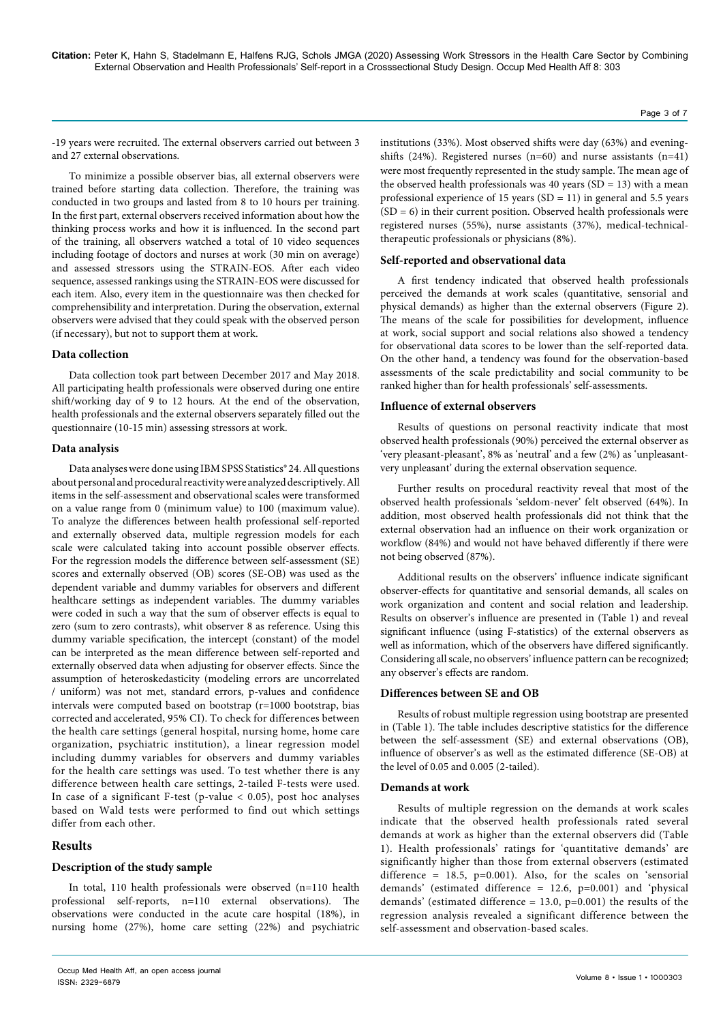-19 years were recruited. The external observers carried out between 3 and 27 external observations.

To minimize a possible observer bias, all external observers were trained before starting data collection. Therefore, the training was conducted in two groups and lasted from 8 to 10 hours per training. In the first part, external observers received information about how the thinking process works and how it is influenced. In the second part of the training, all observers watched a total of 10 video sequences including footage of doctors and nurses at work (30 min on average) and assessed stressors using the STRAIN-EOS. After each video sequence, assessed rankings using the STRAIN-EOS were discussed for each item. Also, every item in the questionnaire was then checked for comprehensibility and interpretation. During the observation, external observers were advised that they could speak with the observed person (if necessary), but not to support them at work.

# **Data collection**

Data collection took part between December 2017 and May 2018. All participating health professionals were observed during one entire shift/working day of 9 to 12 hours. At the end of the observation, health professionals and the external observers separately filled out the questionnaire (10-15 min) assessing stressors at work.

#### **Data analysis**

Data analyses were done using IBM SPSS Statistics® 24. All questions about personal and procedural reactivity were analyzed descriptively. All items in the self-assessment and observational scales were transformed on a value range from 0 (minimum value) to 100 (maximum value). To analyze the differences between health professional self-reported and externally observed data, multiple regression models for each scale were calculated taking into account possible observer effects. For the regression models the difference between self-assessment (SE) scores and externally observed (OB) scores (SE-OB) was used as the dependent variable and dummy variables for observers and different healthcare settings as independent variables. The dummy variables were coded in such a way that the sum of observer effects is equal to zero (sum to zero contrasts), whit observer 8 as reference. Using this dummy variable specification, the intercept (constant) of the model can be interpreted as the mean difference between self-reported and externally observed data when adjusting for observer effects. Since the assumption of heteroskedasticity (modeling errors are uncorrelated / uniform) was not met, standard errors, p-values and confidence intervals were computed based on bootstrap (r=1000 bootstrap, bias corrected and accelerated, 95% CI). To check for differences between the health care settings (general hospital, nursing home, home care organization, psychiatric institution), a linear regression model including dummy variables for observers and dummy variables for the health care settings was used. To test whether there is any difference between health care settings, 2-tailed F-tests were used. In case of a significant F-test (p-value  $<$  0.05), post hoc analyses based on Wald tests were performed to find out which settings differ from each other.

# **Results**

# **Description of the study sample**

In total, 110 health professionals were observed (n=110 health professional self-reports, n=110 external observations). The observations were conducted in the acute care hospital (18%), in nursing home (27%), home care setting (22%) and psychiatric

institutions (33%). Most observed shifts were day (63%) and eveningshifts (24%). Registered nurses (n=60) and nurse assistants (n=41) were most frequently represented in the study sample. The mean age of the observed health professionals was 40 years  $(SD = 13)$  with a mean professional experience of 15 years ( $SD = 11$ ) in general and 5.5 years  $(SD = 6)$  in their current position. Observed health professionals were registered nurses (55%), nurse assistants (37%), medical-technicaltherapeutic professionals or physicians (8%).

## **Self-reported and observational data**

A first tendency indicated that observed health professionals perceived the demands at work scales (quantitative, sensorial and physical demands) as higher than the external observers (Figure 2). The means of the scale for possibilities for development, influence at work, social support and social relations also showed a tendency for observational data scores to be lower than the self-reported data. On the other hand, a tendency was found for the observation-based assessments of the scale predictability and social community to be ranked higher than for health professionals' self-assessments.

## **Influence of external observers**

Results of questions on personal reactivity indicate that most observed health professionals (90%) perceived the external observer as 'very pleasant-pleasant', 8% as 'neutral' and a few (2%) as 'unpleasantvery unpleasant' during the external observation sequence.

Further results on procedural reactivity reveal that most of the observed health professionals 'seldom-never' felt observed (64%). In addition, most observed health professionals did not think that the external observation had an influence on their work organization or workflow (84%) and would not have behaved differently if there were not being observed (87%).

Additional results on the observers' influence indicate significant observer-effects for quantitative and sensorial demands, all scales on work organization and content and social relation and leadership. Results on observer's influence are presented in (Table 1) and reveal significant influence (using F-statistics) of the external observers as well as information, which of the observers have differed significantly. Considering all scale, no observers' influence pattern can be recognized; any observer's effects are random.

#### **Differences between SE and OB**

Results of robust multiple regression using bootstrap are presented in (Table 1). The table includes descriptive statistics for the difference between the self-assessment (SE) and external observations (OB), influence of observer's as well as the estimated difference (SE-OB) at the level of 0.05 and 0.005 (2-tailed).

#### **Demands at work**

Results of multiple regression on the demands at work scales indicate that the observed health professionals rated several demands at work as higher than the external observers did (Table 1). Health professionals' ratings for 'quantitative demands' are significantly higher than those from external observers (estimated difference =  $18.5$ ,  $p=0.001$ ). Also, for the scales on 'sensorial demands' (estimated difference = 12.6, p=0.001) and 'physical demands' (estimated difference = 13.0, p=0.001) the results of the regression analysis revealed a significant difference between the self-assessment and observation-based scales.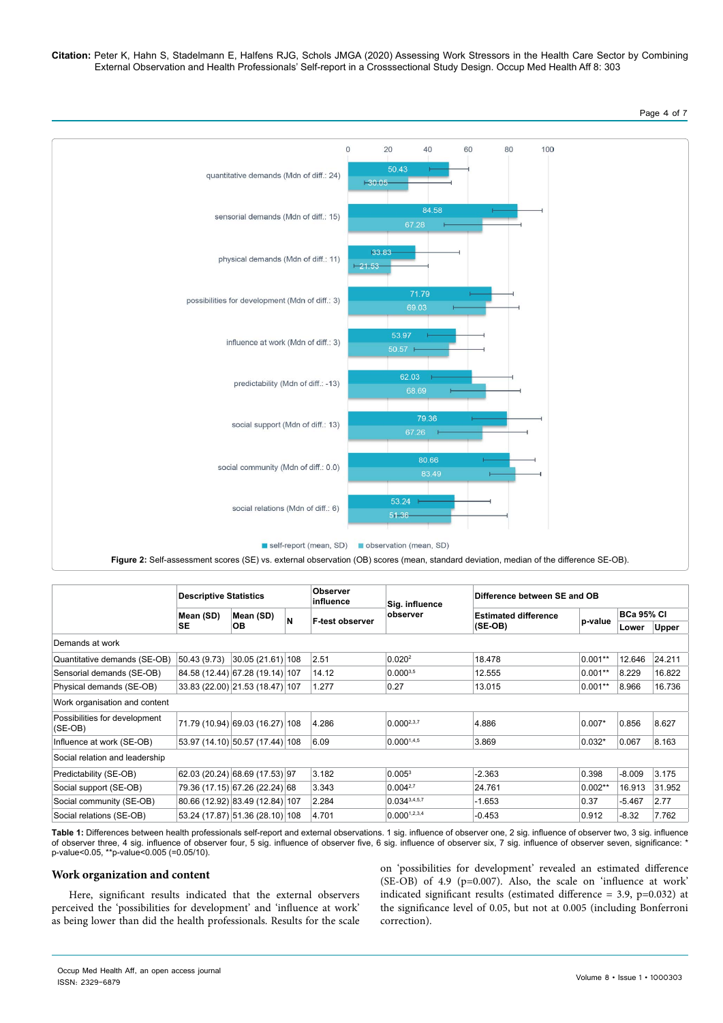

|                                            | <b>Descriptive Statistics</b> |                                 |   | <b>Observer</b><br>influence | Sig. influence     | Difference between SE and OB |           |                   |              |  |
|--------------------------------------------|-------------------------------|---------------------------------|---|------------------------------|--------------------|------------------------------|-----------|-------------------|--------------|--|
|                                            | Mean (SD)                     | Mean (SD)                       | N |                              | observer           | <b>Estimated difference</b>  | p-value   | <b>BCa 95% CI</b> |              |  |
|                                            | <b>SE</b>                     | OB.                             |   | F-test observer              |                    | (SE-OB)                      |           | Lower             | <b>Upper</b> |  |
| Demands at work                            |                               |                                 |   |                              |                    |                              |           |                   |              |  |
| Quantitative demands (SE-OB)               | 50.43 (9.73)                  | 30.05(21.61) 108                |   | 2.51                         | 0.020 <sup>2</sup> | 18.478                       | 0.001**   | 12.646            | 24.211       |  |
| Sensorial demands (SE-OB)                  |                               | 84.58 (12.44) 67.28 (19.14) 107 |   | 14.12                        | $0.000^{3.5}$      | 12.555                       | $0.001**$ | 8.229             | 16.822       |  |
| Physical demands (SE-OB)                   |                               | 33.83 (22.00) 21.53 (18.47) 107 |   | 1.277                        | 0.27               | 13.015                       | 0.001**   | 8.966             | 16.736       |  |
| Work organisation and content              |                               |                                 |   |                              |                    |                              |           |                   |              |  |
| Possibilities for development<br>$(SE-OB)$ |                               | 71.79 (10.94) 69.03 (16.27) 108 |   | 4.286                        | $0.000^{2,3,7}$    | 4.886                        | $0.007*$  | 0.856             | 8.627        |  |
| Influence at work (SE-OB)                  |                               | 53.97 (14.10) 50.57 (17.44) 108 |   | 6.09                         | 0.0001,4,5         | 3.869                        | $0.032*$  | 0.067             | 8.163        |  |
| Social relation and leadership             |                               |                                 |   |                              |                    |                              |           |                   |              |  |
| Predictability (SE-OB)                     |                               | 62.03 (20.24) 68.69 (17.53) 97  |   | 3.182                        | $0.005^3$          | $-2.363$                     | 0.398     | $-8.009$          | 3.175        |  |
| Social support (SE-OB)                     |                               | 79.36 (17.15) 67.26 (22.24) 68  |   | 3.343                        | $0.004^{2,7}$      | 24.761                       | $0.002**$ | 16.913            | 31.952       |  |
| Social community (SE-OB)                   |                               | 80.66 (12.92) 83.49 (12.84) 107 |   | 2.284                        | $0.034^{3,4,5,7}$  | $-1.653$                     | 0.37      | $-5.467$          | 2.77         |  |
| Social relations (SE-OB)                   |                               | 53.24 (17.87) 51.36 (28.10) 108 |   | 4.701                        | 0.0001,2,3,4       | $-0.453$                     | 0.912     | $-8.32$           | 7.762        |  |

**Table 1:** Differences between health professionals self-report and external observations. 1 sig. influence of observer one, 2 sig. influence of observer two, 3 sig. influence of observer three, 4 sig. influence of observer four, 5 sig. influence of observer five, 6 sig. influence of observer six, 7 sig. influence of observer seven, significance: \* p-value<0.05, \*\*p-value<0.005 (=0.05/10).

# **Work organization and content**

Here, significant results indicated that the external observers perceived the 'possibilities for development' and 'influence at work' as being lower than did the health professionals. Results for the scale on 'possibilities for development' revealed an estimated difference (SE-OB) of 4.9 (p=0.007). Also, the scale on 'influence at work' indicated significant results (estimated difference = 3.9, p=0.032) at the significance level of 0.05, but not at 0.005 (including Bonferroni correction).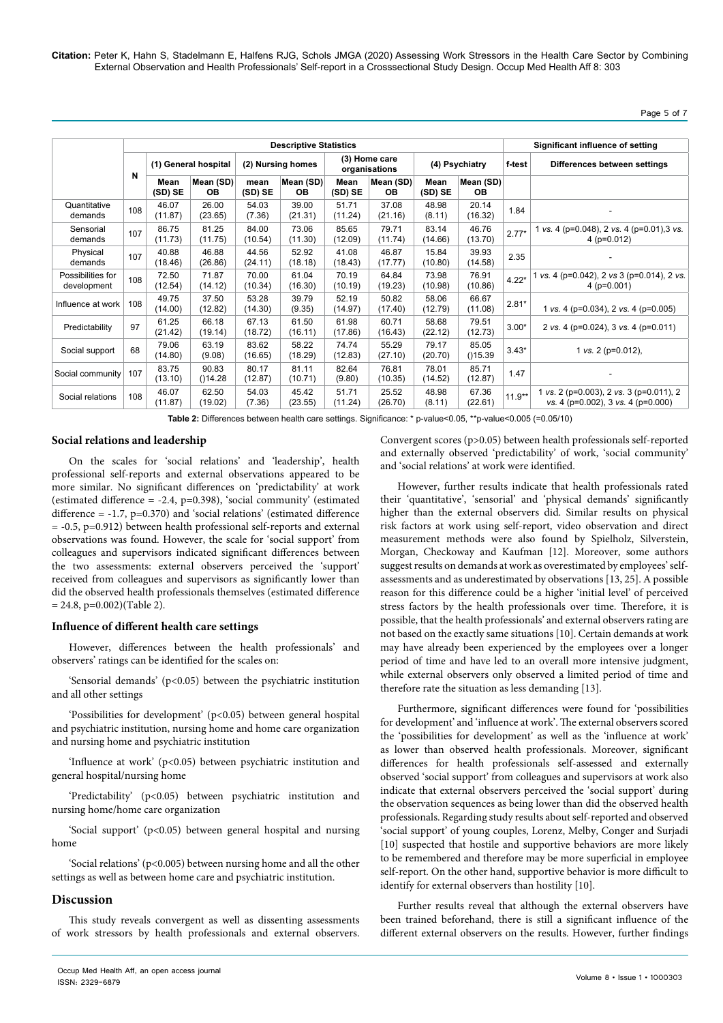# Page 5 of 7

|                                  | <b>Descriptive Statistics</b> |                      |                        |                   |                  |                                |                  |                  |                        | Significant influence of setting |                                                                               |  |  |
|----------------------------------|-------------------------------|----------------------|------------------------|-------------------|------------------|--------------------------------|------------------|------------------|------------------------|----------------------------------|-------------------------------------------------------------------------------|--|--|
|                                  | N                             | (1) General hospital |                        | (2) Nursing homes |                  | (3) Home care<br>organisations |                  | (4) Psychiatry   |                        | f-test                           | Differences between settings                                                  |  |  |
|                                  |                               | Mean<br>(SD) SE      | Mean (SD)<br><b>OB</b> | mean<br>(SD) SE   | Mean (SD)<br>OВ  | Mean<br>(SD) SE                | Mean (SD)<br>OВ  | Mean<br>(SD) SE  | Mean (SD)<br><b>OB</b> |                                  |                                                                               |  |  |
| Quantitative<br>demands          | 108                           | 46.07<br>(11.87)     | 26.00<br>(23.65)       | 54.03<br>(7.36)   | 39.00<br>(21.31) | 51.71<br>(11.24)               | 37.08<br>(21.16) | 48.98<br>(8.11)  | 20.14<br>(16.32)       | 1.84                             |                                                                               |  |  |
| Sensorial<br>demands             | 107                           | 86.75<br>(11.73)     | 81.25<br>(11.75)       | 84.00<br>(10.54)  | 73.06<br>(11.30) | 85.65<br>(12.09)               | 79.71<br>(11.74) | 83.14<br>(14.66) | 46.76<br>(13.70)       | $2.77*$                          | 1 vs. 4 (p=0.048), 2 vs. 4 (p=0.01), 3 vs.<br>4 ( $p=0.012$ )                 |  |  |
| Physical<br>demands              | 107                           | 40.88<br>(18.46)     | 46.88<br>(26.86)       | 44.56<br>(24.11)  | 52.92<br>(18.18) | 41.08<br>(18.43)               | 46.87<br>(17.77) | 15.84<br>(10.80) | 39.93<br>(14.58)       | 2.35                             |                                                                               |  |  |
| Possibilities for<br>development | 108                           | 72.50<br>(12.54)     | 71.87<br>(14.12)       | 70.00<br>(10.34)  | 61.04<br>(16.30) | 70.19<br>(10.19)               | 64.84<br>(19.23) | 73.98<br>(10.98) | 76.91<br>(10.86)       | $4.22*$                          | vs. 4 (p=0.042), 2 vs 3 (p=0.014), 2 vs.<br>$4$ ( $p=0.001$ )                 |  |  |
| Influence at work                | 108                           | 49.75<br>(14.00)     | 37.50<br>(12.82)       | 53.28<br>(14.30)  | 39.79<br>(9.35)  | 52.19<br>(14.97)               | 50.82<br>(17.40) | 58.06<br>(12.79) | 66.67<br>(11.08)       | $2.81*$                          | 1 vs. 4 ( $p=0.034$ ), 2 vs. 4 ( $p=0.005$ )                                  |  |  |
| Predictability                   | 97                            | 61.25<br>(21.42)     | 66.18<br>(19.14)       | 67.13<br>(18.72)  | 61.50<br>(16.11) | 61.98<br>(17.86)               | 60.71<br>(16.43) | 58.68<br>(22.12) | 79.51<br>(12.73)       | $3.00*$                          | 2 vs. 4 (p=0.024), 3 vs. 4 (p=0.011)                                          |  |  |
| Social support                   | 68                            | 79.06<br>(14.80)     | 63.19<br>(9.08)        | 83.62<br>(16.65)  | 58.22<br>(18.29) | 74.74<br>(12.83)               | 55.29<br>(27.10) | 79.17<br>(20.70) | 85.05<br>( )15.39      | $3.43*$                          | 1 vs. 2 ( $p=0.012$ ),                                                        |  |  |
| Social community                 | 107                           | 83.75<br>(13.10)     | 90.83<br>( )14.28      | 80.17<br>(12.87)  | 81.11<br>(10.71) | 82.64<br>(9.80)                | 76.81<br>(10.35) | 78.01<br>(14.52) | 85.71<br>(12.87)       | 1.47                             |                                                                               |  |  |
| Social relations                 | 108                           | 46.07<br>(11.87)     | 62.50<br>(19.02)       | 54.03<br>(7.36)   | 45.42<br>(23.55) | 51.71<br>(11.24)               | 25.52<br>(26.70) | 48.98<br>(8.11)  | 67.36<br>(22.61)       | $11.9**$                         | 1 vs. 2 (p=0.003), 2 vs. 3 (p=0.011), 2<br>vs. 4 (p=0.002), 3 vs. 4 (p=0.000) |  |  |

**Table 2:** Differences between health care settings. Significance: \* p-value<0.05, \*\*p-value<0.005 (=0.05/10)

# **Social relations and leadership**

On the scales for 'social relations' and 'leadership', health professional self-reports and external observations appeared to be more similar. No significant differences on 'predictability' at work (estimated difference = -2.4, p=0.398), 'social community' (estimated difference  $= -1.7$ ,  $p=0.370$ ) and 'social relations' (estimated difference = -0.5, p=0.912) between health professional self-reports and external observations was found. However, the scale for 'social support' from colleagues and supervisors indicated significant differences between the two assessments: external observers perceived the 'support' received from colleagues and supervisors as significantly lower than did the observed health professionals themselves (estimated difference  $= 24.8$ , p=0.002)(Table 2).

#### **Influence of different health care settings**

However, differences between the health professionals' and observers' ratings can be identified for the scales on:

'Sensorial demands' (p<0.05) between the psychiatric institution and all other settings

'Possibilities for development' (p<0.05) between general hospital and psychiatric institution, nursing home and home care organization and nursing home and psychiatric institution

'Influence at work' (p<0.05) between psychiatric institution and general hospital/nursing home

'Predictability' (p<0.05) between psychiatric institution and nursing home/home care organization

'Social support' (p<0.05) between general hospital and nursing home

'Social relations' (p<0.005) between nursing home and all the other settings as well as between home care and psychiatric institution.

# **Discussion**

This study reveals convergent as well as dissenting assessments of work stressors by health professionals and external observers.

Convergent scores (p>0.05) between health professionals self-reported and externally observed 'predictability' of work, 'social community' and 'social relations' at work were identified.

However, further results indicate that health professionals rated their 'quantitative', 'sensorial' and 'physical demands' significantly higher than the external observers did. Similar results on physical risk factors at work using self-report, video observation and direct measurement methods were also found by Spielholz, Silverstein, Morgan, Checkoway and Kaufman [12]. Moreover, some authors suggest results on demands at work as overestimated by employees' selfassessments and as underestimated by observations [13, 25]. A possible reason for this difference could be a higher 'initial level' of perceived stress factors by the health professionals over time. Therefore, it is possible, that the health professionals' and external observers rating are not based on the exactly same situations [10]. Certain demands at work may have already been experienced by the employees over a longer period of time and have led to an overall more intensive judgment, while external observers only observed a limited period of time and therefore rate the situation as less demanding [13].

Furthermore, significant differences were found for 'possibilities for development' and 'influence at work'. The external observers scored the 'possibilities for development' as well as the 'influence at work' as lower than observed health professionals. Moreover, significant differences for health professionals self-assessed and externally observed 'social support' from colleagues and supervisors at work also indicate that external observers perceived the 'social support' during the observation sequences as being lower than did the observed health professionals. Regarding study results about self-reported and observed 'social support' of young couples, Lorenz, Melby, Conger and Surjadi [10] suspected that hostile and supportive behaviors are more likely to be remembered and therefore may be more superficial in employee self-report. On the other hand, supportive behavior is more difficult to identify for external observers than hostility [10].

Further results reveal that although the external observers have been trained beforehand, there is still a significant influence of the different external observers on the results. However, further findings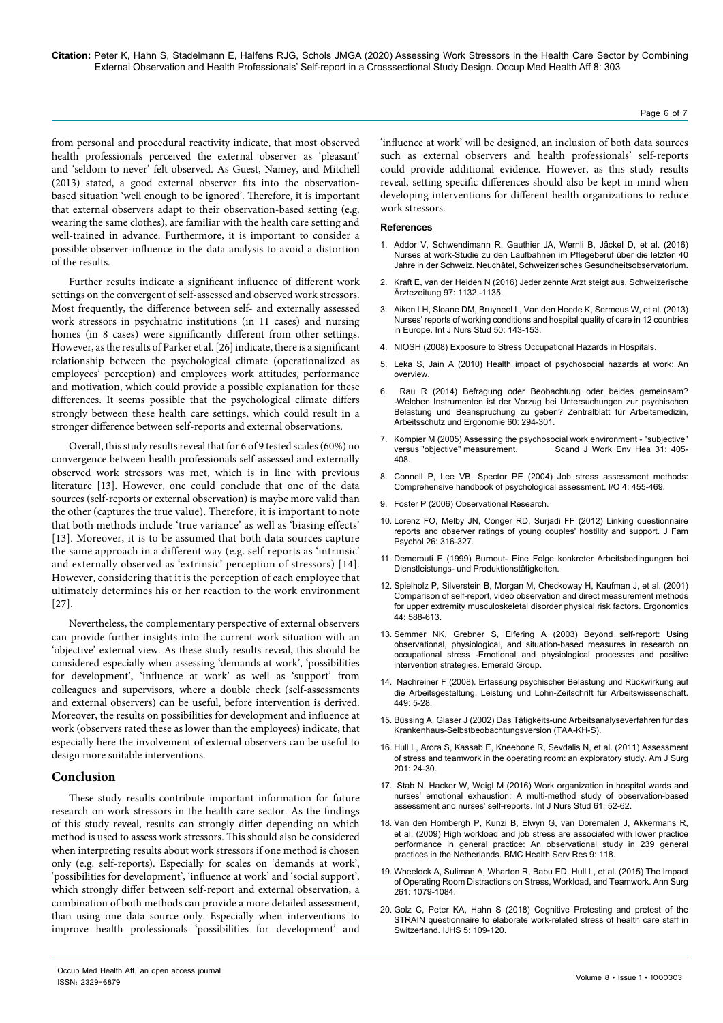# from personal and procedural reactivity indicate, that most observed health professionals perceived the external observer as 'pleasant' and 'seldom to never' felt observed. As Guest, Namey, and Mitchell (2013) stated, a good external observer fits into the observationbased situation 'well enough to be ignored'. Therefore, it is important that external observers adapt to their observation-based setting (e.g. wearing the same clothes), are familiar with the health care setting and well-trained in advance. Furthermore, it is important to consider a possible observer-influence in the data analysis to avoid a distortion of the results.

Further results indicate a significant influence of different work settings on the convergent of self-assessed and observed work stressors. Most frequently, the difference between self- and externally assessed work stressors in psychiatric institutions (in 11 cases) and nursing homes (in 8 cases) were significantly different from other settings. However, as the results of Parker et al. [26] indicate, there is a significant relationship between the psychological climate (operationalized as employees' perception) and employees work attitudes, performance and motivation, which could provide a possible explanation for these differences. It seems possible that the psychological climate differs strongly between these health care settings, which could result in a stronger difference between self-reports and external observations.

Overall, this study results reveal that for 6 of 9 tested scales (60%) no convergence between health professionals self-assessed and externally observed work stressors was met, which is in line with previous literature [13]. However, one could conclude that one of the data sources (self-reports or external observation) is maybe more valid than the other (captures the true value). Therefore, it is important to note that both methods include 'true variance' as well as 'biasing effects' [13]. Moreover, it is to be assumed that both data sources capture the same approach in a different way (e.g. self-reports as 'intrinsic' and externally observed as 'extrinsic' perception of stressors) [14]. However, considering that it is the perception of each employee that ultimately determines his or her reaction to the work environment [27].

Nevertheless, the complementary perspective of external observers can provide further insights into the current work situation with an 'objective' external view. As these study results reveal, this should be considered especially when assessing 'demands at work', 'possibilities for development', 'influence at work' as well as 'support' from colleagues and supervisors, where a double check (self-assessments and external observers) can be useful, before intervention is derived. Moreover, the results on possibilities for development and influence at work (observers rated these as lower than the employees) indicate, that especially here the involvement of external observers can be useful to design more suitable interventions.

# **Conclusion**

These study results contribute important information for future research on work stressors in the health care sector. As the findings of this study reveal, results can strongly differ depending on which method is used to assess work stressors. This should also be considered when interpreting results about work stressors if one method is chosen only (e.g. self-reports). Especially for scales on 'demands at work', 'possibilities for development', 'influence at work' and 'social support', which strongly differ between self-report and external observation, a combination of both methods can provide a more detailed assessment, than using one data source only. Especially when interventions to improve health professionals 'possibilities for development' and

'influence at work' will be designed, an inclusion of both data sources such as external observers and health professionals' self-reports could provide additional evidence. However, as this study results reveal, setting specific differences should also be kept in mind when developing interventions for different health organizations to reduce work stressors.

#### **References**

- 1. Addor V, Schwendimann R, Gauthier JA, Wernli B, Jäckel D, et al. (2016) Nurses at work-Studie zu den Laufbahnen im Pflegeberuf über die letzten 40 Jahre in der Schweiz. Neuchâtel, Schweizerisches Gesundheitsobservatorium.
- 2. [Kraft E, van der Heiden N \(2016\) Jeder zehnte Arzt steigt aus. Schweizerische](https://doi.org/10.4414/saez.2016.04953)  [Ärztezeitung 97: 1132 -1135](https://doi.org/10.4414/saez.2016.04953).
- 3. [Aiken LH, Sloane DM, Bruyneel L, Van den Heede K, Sermeus W, et al. \(2013\)](https://doi.org/10.1016/j.ijnurstu.2012.11.009)  [Nurses' reports of working conditions and hospital quality of care in 12 countries](https://doi.org/10.1016/j.ijnurstu.2012.11.009)  [in Europe. Int J Nurs Stud 50: 143-153](https://doi.org/10.1016/j.ijnurstu.2012.11.009).
- 4. NIOSH (2008) Exposure to Stress Occupational Hazards in Hospitals.
- 5. Leka S, Jain A (2010) Health impact of psychosocial hazards at work: An overview.
- 6. [Rau R \(2014\) Befragung oder Beobachtung oder beides gemeinsam?](https://doi.org/10.1007/bf03344299)  [-Welchen Instrumenten ist der Vorzug bei Untersuchungen zur psychischen](https://doi.org/10.1007/bf03344299)  [Belastung und Beanspruchung zu geben? Zentralblatt für Arbeitsmedizin,](https://doi.org/10.1007/bf03344299)  [Arbeitsschutz und Ergonomie 60: 294-301](https://doi.org/10.1007/bf03344299).
- 7. [Kompier M \(2005\) Assessing the psychosocial work environment "subjective"](https://doi.org/10.5271/sjweh.946) versus "objective" measurement. Scand J Work Env Hea 31: 405versus "objective" measurement. [408](https://doi.org/10.5271/sjweh.946).
- Connell P, Lee VB, Spector PE (2004) Job stress assessment methods: Comprehensive handbook of psychological assessment. I/O 4: 455-469.
- 9. [Foster P \(2006\) Observational Research](https://methods.sagepub.com/book/data-collection-and-analysis/n3.xml).
- 10. [Lorenz FO, Melby JN, Conger RD, Surjadi FF \(2012\) Linking questionnaire](https://doi.org/10.1037/a0028319)  [reports and observer ratings of young couples' hostility and support. J Fam](https://doi.org/10.1037/a0028319)  [Psychol 26: 316-327](https://doi.org/10.1037/a0028319).
- 11. [Demerouti E \(1999\) Burnout- Eine Folge konkreter Arbeitsbedingungen bei](https://www.worldcat.org/title/burnout-eine-folge-konkreter-arbeitsbedingungen-bei-dienstleistungs-und-produktionstatigkeiten/oclc/610916365)  [Dienstleistungs- und Produktionstätigkeiten.](https://www.worldcat.org/title/burnout-eine-folge-konkreter-arbeitsbedingungen-bei-dienstleistungs-und-produktionstatigkeiten/oclc/610916365)
- 12. [Spielholz P, Silverstein B, Morgan M, Checkoway H, Kaufman J, et al. \(2001\)](https://doi.org/10.1080/00140130118050)  [Comparison of self-report, video observation and direct measurement methods](https://doi.org/10.1080/00140130118050)  for upper extremity musculoskeletal disorder physical risk factors. Ergonomics [44: 588-613.](https://doi.org/10.1080/00140130118050)
- 13. Semmer NK, Grebner S, Elfering A (2003) Beyond self-report: Using observational, physiological, and situation-based measures in research on occupational stress -Emotional and physiological processes and positive intervention strategies. Emerald Group.
- 14. [Nachreiner F \(2008\). Erfassung psychischer Belastung und Rückwirkung auf](http://www.gawo-ev.de/Material/PsyBel Fragebogen oGC.pdf)  [die Arbeitsgestaltung. Leistung und Lohn-Zeitschrift für Arbeitswissenschaft.](http://www.gawo-ev.de/Material/PsyBel Fragebogen oGC.pdf)  [449: 5-28.](http://www.gawo-ev.de/Material/PsyBel Fragebogen oGC.pdf)
- 15. [Büssing A, Glaser J \(2002\) Das Tätigkeits-und Arbeitsanalyseverfahren für das](https://books.google.co.in/books?id=tfFdDwAAQBAJ&pg=PA488&lpg=PA488&dq=15.+B%C3%BCssing+A,+Glaser+J+(2002)+Das+T%C3%A4tigkeits-und+Arbeitsanalyseverfahren+f%C3%BCr+das+Krankenhaus-Selbstbeobachtungsversion+(TAA-KH-S).&source=bl&ots=AlpW9py4A9&sig=ACfU3U1psobCGYVg7CrAkE7-BcWwvO4EOg&hl=en&sa=X&ved=2ahUKEwij-5yelPTnAhWXwTgGHY5zBCoQ6AEwAHoECAYQAQ#v=onepage&q=15. B%C3%BCssing A%2C Glaser J (2002) Das T%C3%A4tigkeits-und Arbeitsanalyseverfahren f%C3%BCr das Krankenhaus-Selbstbeobachtungsversion (TAA-KH-S).&f=false)  [Krankenhaus-Selbstbeobachtungsversion \(TAA-KH-S\).](https://books.google.co.in/books?id=tfFdDwAAQBAJ&pg=PA488&lpg=PA488&dq=15.+B%C3%BCssing+A,+Glaser+J+(2002)+Das+T%C3%A4tigkeits-und+Arbeitsanalyseverfahren+f%C3%BCr+das+Krankenhaus-Selbstbeobachtungsversion+(TAA-KH-S).&source=bl&ots=AlpW9py4A9&sig=ACfU3U1psobCGYVg7CrAkE7-BcWwvO4EOg&hl=en&sa=X&ved=2ahUKEwij-5yelPTnAhWXwTgGHY5zBCoQ6AEwAHoECAYQAQ#v=onepage&q=15. B%C3%BCssing A%2C Glaser J (2002) Das T%C3%A4tigkeits-und Arbeitsanalyseverfahren f%C3%BCr das Krankenhaus-Selbstbeobachtungsversion (TAA-KH-S).&f=false)
- 16. [Hull L, Arora S, Kassab E, Kneebone R, Sevdalis N, et al. \(2011\) Assessment](https://doi.org/10.1016/j.amjsurg.2010.07.039)  [of stress and teamwork in the operating room: an exploratory study. Am J Surg](https://doi.org/10.1016/j.amjsurg.2010.07.039)  [201: 24-30](https://doi.org/10.1016/j.amjsurg.2010.07.039).
- 17. Stab N, Hacker W, Weigl M (2016) Work organization in hospital wards and nurses' emotional exhaustion: A multi-method study of observation-based assessment and nurses' self-reports. Int J Nurs Stud 61: 52-62.
- 18. [Van den Hombergh P, Kunzi B, Elwyn G, van Doremalen J, Akkermans R,](https://doi.org/10.1186/1472-6963-9-118)  [et al. \(2009\) High workload and job stress are associated with lower practice](https://doi.org/10.1186/1472-6963-9-118)  [performance in general practice: An observational study in 239 general](https://doi.org/10.1186/1472-6963-9-118)  [practices in the Netherlands. BMC Health Serv Res 9: 118](https://doi.org/10.1186/1472-6963-9-118).
- 19. [Wheelock A, Suliman A, Wharton R, Babu ED, Hull L, et al. \(2015\) The Impact](https://doi.org/10.1097/sla.0000000000001051)  [of Operating Room Distractions on Stress, Workload, and Teamwork. Ann Surg](https://doi.org/10.1097/sla.0000000000001051)  [261: 1079-1084](https://doi.org/10.1097/sla.0000000000001051).
- 20. [Golz C, Peter KA, Hahn S \(2018\) Cognitive Pretesting and pretest of the](https://doi.org/10.2478/ijhp-2018-0011)  [STRAIN questionnaire to elaborate work-related stress of health care staff in](https://doi.org/10.2478/ijhp-2018-0011)  [Switzerland. IJHS 5: 109-120](https://doi.org/10.2478/ijhp-2018-0011).